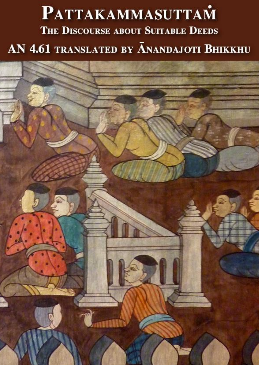# **PATTAKAMMASUTTAM** THE DISCOURSE ABOUT SUITABLE DEEDS AN 4.61 TRANSLATED BY ANANDAJOTI BHIKKHU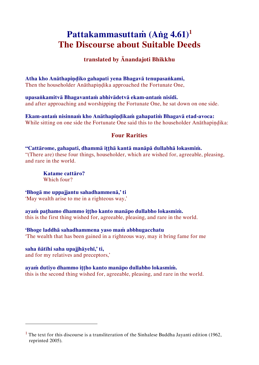# **Pattakammasuttaṁ (Aṅg 4.61)<sup>1</sup> The Discourse about Suitable Deeds**

# **translated by Ānandajoti Bhikkhu**

**Atha kho Anāthapiṇḍiko gahapati yena Bhagavā tenupasaṅkami,** 

Then the householder Anāthapiṇḍika approached the Fortunate One,

**upasaṅkamitvā Bhagavantaṁ abhivādetvā ekam-antaṁ nisīdi.**  and after approaching and worshipping the Fortunate One, he sat down on one side.

**Ekam-antaṁ nisinnaṁ kho Anāthapiṇḍikaṁ gahapatiṁ Bhagavā etad-avoca:** While sitting on one side the Fortunate One said this to the householder Anāthapindika:

# **Four Rarities**

**"Cattārome, gahapati, dhammā iṭṭhā kantā manāpā dullabhā lokasmiṁ.**  "(There are) these four things, householder, which are wished for, agreeable, pleasing, and rare in the world.

**Katame cattāro?**  Which four?

**'Bhogā me uppajjantu sahadhammenā,' ti** 

'May wealth arise to me in a righteous way,'

# **ayaṁ paṭhamo dhammo iṭṭho kanto manāpo dullabho lokasmiṁ.**

this is the first thing wished for, agreeable, pleasing, and rare in the world.

#### **'Bhoge laddhā sahadhammena yaso maṁ abbhugacchatu**

'The wealth that has been gained in a righteous way, may it bring fame for me

# **saha ñātīhi saha upajjhāyehī,' ti,**

í

and for my relatives and preceptors,'

#### **ayaṁ dutiyo dhammo iṭṭho kanto manāpo dullabho lokasmiṁ.**

this is the second thing wished for, agreeable, pleasing, and rare in the world.

 $<sup>1</sup>$  The text for this discourse is a transliteration of the Sinhalese Buddha Jayanti edition (1962,</sup> reprinted 2005).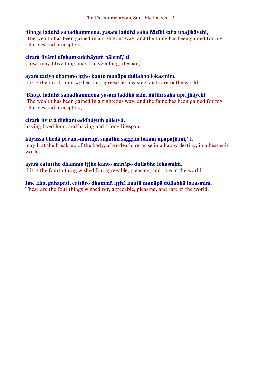#### **'Bhoge laddhā sahadhammena, yasaṁ laddhā saha ñātīhi saha upajjhāyehi,**

'The wealth has been gained in a righteous way, and the fame has been gained for my relatives and preceptors,

#### **ciraṁ jīvāmi dīgham-addhāyuṁ pālemī,' ti**

(now) may I live long, may I have a long lifespan,'

#### **ayaṁ tatiyo dhammo iṭṭho kanto manāpo dullabho lokasmiṁ.**

this is the third thing wished for, agreeable, pleasing, and rare in the world.

#### **'Bhoge laddhā sahadhammena yasaṁ laddhā saha ñātīhi saha upajjhāyehi**

'The wealth has been gained in a righteous way, and the fame has been gained for my relatives and preceptors,

#### **ciraṁ jīvitvā dīgham-addhāyuṁ pāletvā,**

having lived long, and having had a long lifespan,

#### **kāyassa bhedā param-maraṇā sugatiṁ saggaṁ lokaṁ upapajjāmī,' ti**

may I, at the break-up of the body, after death, re-arise in a happy destiny, in a heavenly world.'

# **ayaṁ catuttho dhammo iṭṭho kanto manāpo dullabho lokasmiṁ.**

this is the fourth thing wished for, agreeable, pleasing, and rare in the world.

#### **Ime kho, gahapati, cattāro dhammā iṭṭhā kantā manāpā dullabhā lokasmiṁ.**

These are the four things wished for, agreeable, pleasing, and rare in the world.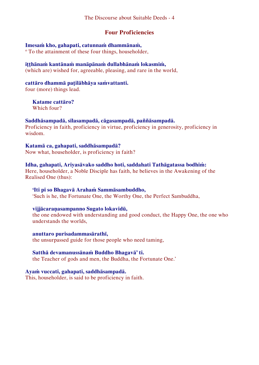#### **Four Proficiencies**

#### **Imesaṁ kho, gahapati, catunnaṁ dhammānaṁ,**

<sup>o</sup> To the attainment of these four things, householder,

#### **iṭṭhānaṁ kantānaṁ manāpānaṁ dullabhānaṁ lokasmiṁ,**

(which are) wished for, agreeable, pleasing, and rare in the world,

# **cattāro dhammā paṭilābhāya saṁvattanti.**

four (more) things lead.

#### **Katame cattāro?**  Which four?

#### **Saddhāsampadā, sīlasampadā, cāgasampadā, paññāsampadā.**

Proficiency in faith, proficiency in virtue, proficiency in generosity, proficiency in wisdom.

# **Katamā ca, gahapati, saddhāsampadā?**

Now what, householder, is proficiency in faith?

#### **Idha, gahapati, Ariyasāvako saddho hoti, saddahati Tathāgatassa bodhiṁ:**

Here, householder, a Noble Disciple has faith, he believes in the Awakening of the Realised One (thus):

#### **'Iti pi so Bhagavā Arahaṁ Sammāsambuddho,**

'Such is he, the Fortunate One, the Worthy One, the Perfect Sambuddha,

#### **vijjācaraṇasampanno Sugato lokavidū,**

the one endowed with understanding and good conduct, the Happy One, the one who understands the worlds,

# **anuttaro purisadammasārathī,**

the unsurpassed guide for those people who need taming,

#### **Satthā devamanussānaṁ Buddho Bhagavā' ti.**

the Teacher of gods and men, the Buddha, the Fortunate One.'

#### **Ayaṁ vuccati, gahapati, saddhāsampadā.**

This, householder, is said to be proficiency in faith.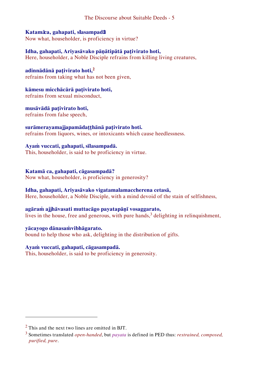#### **Katamā ca, gahapati, sīlasampadā?**

Now what, householder, is proficiency in virtue?

# **Idha, gahapati, Ariyasāvako pāṇātipātā paṭivirato hoti,**

Here, householder, a Noble Disciple refrains from killing living creatures,

# **adinnādānā paṭivirato hoti,<sup>2</sup>**

refrains from taking what has not been given,

# **kāmesu micchācārā paṭivirato hoti,**

refrains from sexual misconduct,

#### **musāvādā paṭivirato hoti,** refrains from false speech,

#### **surāmerayamajjapamādaṭṭhānā paṭivirato hoti.** refrains from liquors, wines, or intoxicants which cause heedlessness.

#### **Ayaṁ vuccati, gahapati, sīlasampadā.**  This, householder, is said to be proficiency in virtue.

#### **Katamā ca, gahapati, cāgasampadā?**

Now what, householder, is proficiency in generosity?

# **Idha, gahapati, Ariyasāvako vigatamalamaccherena cetasā,**

Here, householder, a Noble Disciple, with a mind devoid of the stain of selfishness,

# **agāraṁ ajjhāvasati muttacāgo payatapāṇī vosaggarato,**

lives in the house, free and generous, with pure hands, $3$  delighting in relinquishment,

#### **yācayogo dānasaṁvibhāgarato.**

bound to help those who ask, delighting in the distribution of gifts.

# **Ayaṁ vuccati, gahapati, cāgasampadā.**

This, householder, is said to be proficiency in generosity.

I

 $<sup>2</sup>$  This and the next two lines are omitted in BJT.</sup>

<sup>3</sup> Sometimes translated *open-handed*, but *payata* is defined in PED thus: *restrained, composed, purified, pure*.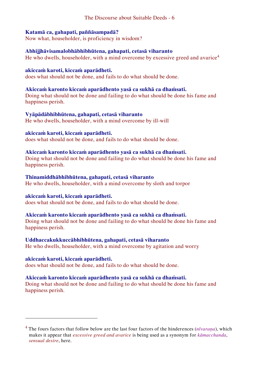#### **Katamā ca, gahapati, paññāsampadā?**

Now what, householder, is proficiency in wisdom?

#### **Abhijjhāvisamalobhābhibhūtena, gahapati, cetasā viharanto**

He who dwells, householder, with a mind overcome by excessive greed and avarice<sup>4</sup>

#### **akiccaṁ karoti, kiccaṁ aparādheti.**

does what should not be done, and fails to do what should be done.

#### **Akiccaṁ karonto kiccaṁ aparādhento yasā ca sukhā ca dhaṁsati.**

Doing what should not be done and failing to do what should be done his fame and happiness perish.

#### **Vyāpādābhibhūtena, gahapati, cetasā viharanto**

He who dwells, householder, with a mind overcome by ill-will

#### **akiccaṁ karoti, kiccaṁ aparādheti.**

does what should not be done, and fails to do what should be done.

#### **Akiccaṁ karonto kiccaṁ aparādhento yasā ca sukhā ca dhaṁsati.**

Doing what should not be done and failing to do what should be done his fame and happiness perish.

#### **Thinamiddhābhibhūtena, gahapati, cetasā viharanto**

He who dwells, householder, with a mind overcome by sloth and torpor

#### **akiccaṁ karoti, kiccaṁ aparādheti.**

does what should not be done, and fails to do what should be done.

#### **Akiccaṁ karonto kiccaṁ aparādhento yasā ca sukhā ca dhaṁsati.**

Doing what should not be done and failing to do what should be done his fame and happiness perish.

#### **Uddhaccakukkuccābhibhūtena, gahapati, cetasā viharanto**

He who dwells, householder, with a mind overcome by agitation and worry

#### **akiccaṁ karoti, kiccaṁ aparādheti.**

I

does what should not be done, and fails to do what should be done.

#### **Akiccaṁ karonto kiccaṁ aparādhento yasā ca sukhā ca dhaṁsati.**

Doing what should not be done and failing to do what should be done his fame and happiness perish.

<sup>4</sup> The fours factors that follow below are the last four factors of the hinderences (*nīvaraṇa*), which makes it appear that *excessive greed and avarice* is being used as a synonym for *kāmacchanda*, *sensual desire*, here.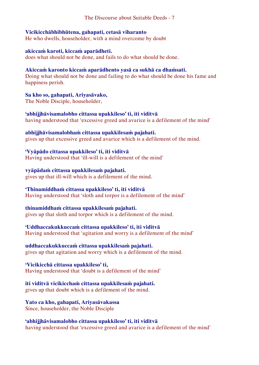#### **Vicikicchābhibhūtena, gahapati, cetasā viharanto**

He who dwells, householder, with a mind overcome by doubt

# **akiccaṁ karoti, kiccaṁ aparādheti.**

does what should not be done, and fails to do what should be done.

#### **Akiccaṁ karonto kiccaṁ aparādhento yasā ca sukhā ca dhaṁsati.**

Doing what should not be done and failing to do what should be done his fame and happiness perish.

#### **Sa kho so, gahapati, Ariyasāvako,**

The Noble Disciple, householder,

# **'abhijjhāvisamalobho cittassa upakkileso' ti, iti viditvā**

having understood that 'excessive greed and avarice is a defilement of the mind'

#### **abhijjhāvisamalobhaṁ cittassa upakkilesaṁ pajahati.**

gives up that excessive greed and avarice which is a defilement of the mind.

# **'Vyāpādo cittassa upakkileso' ti, iti viditvā**

Having understood that 'ill-will is a defilement of the mind'

#### **vyāpādaṁ cittassa upakkilesaṁ pajahati.**

gives up that ill-will which is a defilement of the mind.

# **'Thinamiddhaṁ cittassa upakkileso' ti, iti viditvā**

Having understood that 'sloth and torpor is a defilement of the mind'

#### **thinamiddhaṁ cittassa upakkilesaṁ pajahati.**

gives up that sloth and torpor which is a defilement of the mind.

# **'Uddhaccakukkuccaṁ cittassa upakkileso' ti, iti viditvā**

Having understood that 'agitation and worry is a defilement of the mind'

# **uddhaccakukkuccaṁ cittassa upakkilesaṁ pajahati.**

gives up that agitation and worry which is a defilement of the mind.

# **'Vicikicchā cittassa upakkileso' ti,**

Having understood that 'doubt is a defilement of the mind'

# **iti viditvā vicikicchaṁ cittassa upakkilesaṁ pajahati.**

gives up that doubt which is a defilement of the mind.

#### **Yato ca kho, gahapati, Ariyasāvakassa**  Since, householder, the Noble Disciple

**'abhijjhāvisamalobho cittassa upakkileso' ti, iti viditvā** having understood that 'excessive greed and avarice is a defilement of the mind'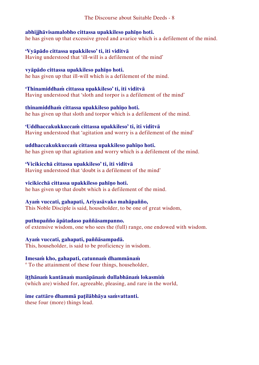#### **abhijjhāvisamalobho cittassa upakkileso pahīṇo hoti.**

he has given up that excessive greed and avarice which is a defilement of the mind.

### **'Vyāpādo cittassa upakkileso' ti, iti viditvā**

Having understood that 'ill-will is a defilement of the mind'

# **vyāpādo cittassa upakkileso pahīṇo hoti.**

he has given up that ill-will which is a defilement of the mind.

### **'Thinamiddhaṁ cittassa upakkileso' ti, iti viditvā**

Having understood that 'sloth and torpor is a defilement of the mind'

# **thinamiddhaṁ cittassa upakkileso pahīṇo hoti.**

he has given up that sloth and torpor which is a defilement of the mind.

# **'Uddhaccakukkuccaṁ cittassa upakkileso' ti, iti viditvā**

Having understood that 'agitation and worry is a defilement of the mind'

# **uddhaccakukkuccaṁ cittassa upakkileso pahīṇo hoti.**

he has given up that agitation and worry which is a defilement of the mind.

# **'Vicikicchā cittassa upakkileso' ti, iti viditvā**

Having understood that 'doubt is a defilement of the mind'

# **vicikicchā cittassa upakkileso pahīṇo hoti.**

he has given up that doubt which is a defilement of the mind.

# **Ayaṁ vuccati, gahapati, Ariyasāvako mahāpañño,**

This Noble Disciple is said, householder, to be one of great wisdom,

# **puthupañño āpātadaso paññāsampanno.**

of extensive wisdom, one who sees the (full) range, one endowed with wisdom.

# **Ayaṁ vuccati, gahapati, paññāsampadā.**

This, householder, is said to be proficiency in wisdom.

# **Imesaṁ kho, gahapati, catunnaṁ dhammānaṁ**

<sup>o</sup> To the attainment of these four things, householder,

# **iṭṭhānaṁ kantānaṁ manāpānaṁ dullabhānaṁ lokasmiṁ**

(which are) wished for, agreeable, pleasing, and rare in the world,

# **ime cattāro dhammā paṭilābhāya saṁvattanti.**

these four (more) things lead.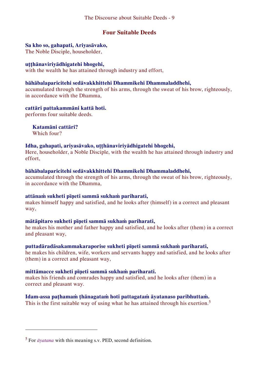# **Four Suitable Deeds**

### **Sa kho so, gahapati, Ariyasāvako,**

The Noble Disciple, householder,

### **uṭṭhānaviriyādhigatehi bhogehi,**

with the wealth he has attained through industry and effort,

### **bāhābalaparicitehi sedāvakkhittehi Dhammikehi Dhammaladdhehi,**

accumulated through the strength of his arms, through the sweat of his brow, righteously, in accordance with the Dhamma,

#### **cattāri pattakammāni kattā hoti.**

performs four suitable deeds.

# **Katamāni cattāri?**

Which four?

I

# **Idha, gahapati, ariyasāvako, uṭṭhānaviriyādhigatehi bhogehi,**

Here, householder, a Noble Disciple, with the wealth he has attained through industry and effort,

# **bāhābalaparicitehi sedāvakkhittehi Dhammikehi Dhammaladdhehi,**

accumulated through the strength of his arms, through the sweat of his brow, righteously, in accordance with the Dhamma,

#### **attānaṁ sukheti pīṇeti sammā sukhaṁ pariharati,**

makes himself happy and satisfied, and he looks after (himself) in a correct and pleasant way,

# **mātāpitaro sukheti pīṇeti sammā sukhaṁ pariharati,**

he makes his mother and father happy and satisfied, and he looks after (them) in a correct and pleasant way,

# **puttadāradāsakammakaraporise sukheti pīṇeti sammā sukhaṁ pariharati,**

he makes his children, wife, workers and servants happy and satisfied, and he looks after (them) in a correct and pleasant way,

# **mittāmacce sukheti pīṇeti sammā sukhaṁ pariharati.**

makes his friends and comrades happy and satisfied, and he looks after (them) in a correct and pleasant way.

# **Idam-assa paṭhamaṁ ṭhānagataṁ hoti pattagataṁ āyatanaso paribhuttaṁ.**

This is the first suitable way of using what he has attained through his exertion.<sup>5</sup>

<sup>5</sup> For *āyatana* with this meaning s.v. PED, second definition.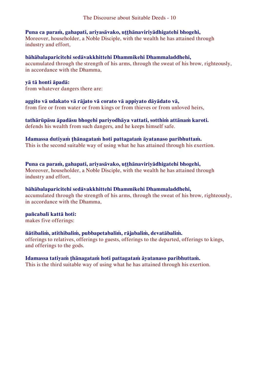#### **Puna ca paraṁ, gahapati, ariyasāvako, uṭṭhānaviriyādhigatehi bhogehi,**

Moreover, householder, a Noble Disciple, with the wealth he has attained through industry and effort,

#### **bāhābalaparicitehi sedāvakkhittehi Dhammikehi Dhammaladdhehi,**

accumulated through the strength of his arms, through the sweat of his brow, righteously, in accordance with the Dhamma,

#### **yā tā honti āpadā:**

from whatever dangers there are:

#### **aggito vā udakato vā rājato vā corato vā appiyato dāyādato vā,**

from fire or from water or from kings or from thieves or from unloved heirs,

#### **tathārūpāsu āpadāsu bhogehi pariyodhāya vattati, sotthiṁ attānaṁ karoti.** defends his wealth from such dangers, and he keeps himself safe.

#### **Idamassa dutiyaṁ ṭhānagataṁ hoti pattagataṁ āyatanaso paribhuttaṁ.**

This is the second suitable way of using what he has attained through his exertion.

**Puna ca paraṁ, gahapati, ariyasāvako, uṭṭhānaviriyādhigatehi bhogehi,**  Moreover, householder, a Noble Disciple, with the wealth he has attained through industry and effort,

#### **bāhābalaparicitehi sedāvakkhittehi Dhammikehi Dhammaladdhehi,**

accumulated through the strength of his arms, through the sweat of his brow, righteously, in accordance with the Dhamma,

#### **pañcabalī kattā hoti:**

makes five offerings:

#### **ñātibaliṁ, atithibaliṁ, pubbapetabaliṁ, rājabaliṁ, devatābaliṁ.**

offerings to relatives, offerings to guests, offerings to the departed, offerings to kings, and offerings to the gods.

#### **Idamassa tatiyaṁ ṭhānagataṁ hoti pattagataṁ āyatanaso paribhuttaṁ.**

This is the third suitable way of using what he has attained through his exertion.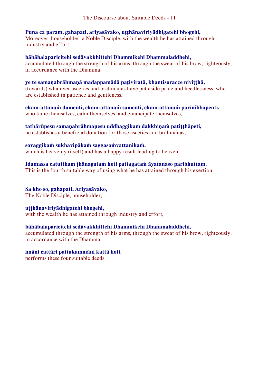**Puna ca paraṁ, gahapati, ariyasāvako, uṭṭhānaviriyādhigatehi bhogehi,** 

Moreover, householder, a Noble Disciple, with the wealth he has attained through industry and effort,

**bāhābalaparicitehi sedāvakkhittehi Dhammikehi Dhammaladdhehi,**  accumulated through the strength of his arms, through the sweat of his brow, righteously, in accordance with the Dhamma,

**ye te samaṇabrāhmaṇā madappamādā paṭiviratā, khantisoracce niviṭṭhā,** (towards) whatever ascetics and brāhmaṇas have put aside pride and heedlessness, who are established in patience and gentleness,

**ekam-attānaṁ damenti, ekam-attānaṁ samenti, ekam-attānaṁ parinibbāpenti,**  who tame themselves, calm themselves, and emancipate themselves,

**tathārūpesu samaṇabrāhmaṇesu uddhaggikaṁ dakkhiṇaṁ patiṭṭhāpeti,** he establishes a beneficial donation for those ascetics and brāhmaṇas,

**sovaggikaṁ sukhavipākaṁ saggasaṁvattanikaṁ.** which is heavenly (itself) and has a happy result leading to heaven.

**Idamassa catutthaṁ ṭhānagataṁ hoti pattagataṁ āyatanaso paribhuttaṁ.**  This is the fourth suitable way of using what he has attained through his exertion.

**Sa kho so, gahapati, Ariyasāvako,** The Noble Disciple, householder,

**uṭṭhānaviriyādhigatehi bhogehi,**  with the wealth he has attained through industry and effort,

**bāhābalaparicitehi sedāvakkhittehi Dhammikehi Dhammaladdhehi,** 

accumulated through the strength of his arms, through the sweat of his brow, righteously, in accordance with the Dhamma,

**imāni cattāri pattakammāni kattā hoti.** 

performs these four suitable deeds.